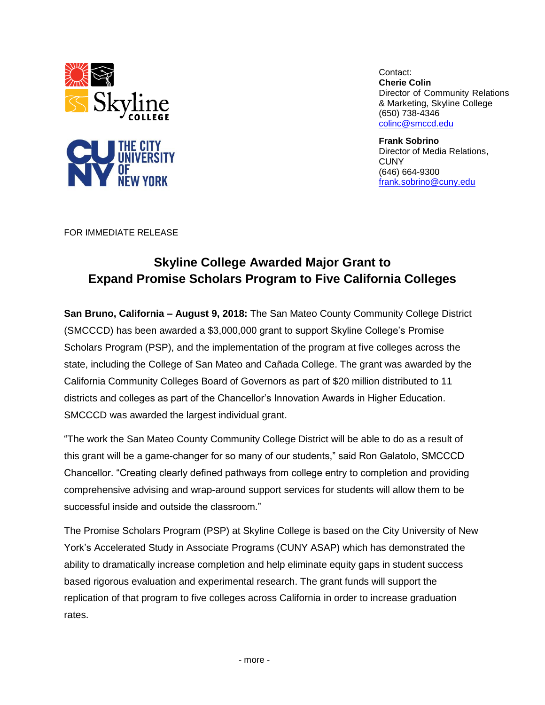

Contact: **Cherie Colin** Director of Community Relations & Marketing, Skyline College (650) 738-4346 [colinc@smccd.edu](mailto:colinc@smccd.edu) 

**Frank Sobrino** Director of Media Relations, **CUNY** (646) 664-9300 [frank.sobrino@cuny.edu](mailto:frank.sobrino@cuny.edu)

FOR IMMEDIATE RELEASE

## **Skyline College Awarded Major Grant to Expand Promise Scholars Program to Five California Colleges**

**San Bruno, California – August 9, 2018:** The San Mateo County Community College District (SMCCCD) has been awarded a \$3,000,000 grant to support Skyline College's Promise Scholars Program (PSP), and the implementation of the program at five colleges across the state, including the College of San Mateo and Cañada College. The grant was awarded by the California Community Colleges Board of Governors as part of \$20 million distributed to 11 districts and colleges as part of the Chancellor's Innovation Awards in Higher Education. SMCCCD was awarded the largest individual grant.

"The work the San Mateo County Community College District will be able to do as a result of this grant will be a game-changer for so many of our students," said Ron Galatolo, SMCCCD Chancellor. "Creating clearly defined pathways from college entry to completion and providing comprehensive advising and wrap-around support services for students will allow them to be successful inside and outside the classroom."

The Promise Scholars Program (PSP) at Skyline College is based on the City University of New York's Accelerated Study in Associate Programs (CUNY ASAP) which has demonstrated the ability to dramatically increase completion and help eliminate equity gaps in student success based rigorous evaluation and experimental research. The grant funds will support the replication of that program to five colleges across California in order to increase graduation rates.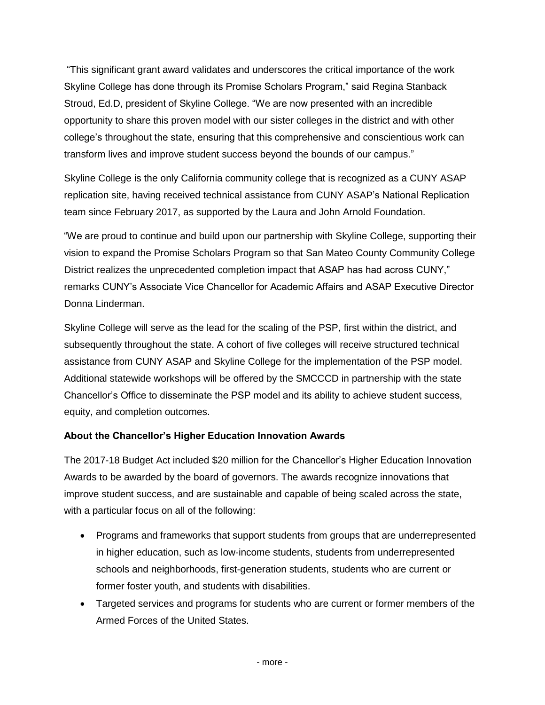"This significant grant award validates and underscores the critical importance of the work Skyline College has done through its Promise Scholars Program," said Regina Stanback Stroud, Ed.D, president of Skyline College. "We are now presented with an incredible opportunity to share this proven model with our sister colleges in the district and with other college's throughout the state, ensuring that this comprehensive and conscientious work can transform lives and improve student success beyond the bounds of our campus."

Skyline College is the only California community college that is recognized as a CUNY ASAP replication site, having received technical assistance from CUNY ASAP's National Replication team since February 2017, as supported by the Laura and John Arnold Foundation.

"We are proud to continue and build upon our partnership with Skyline College, supporting their vision to expand the Promise Scholars Program so that San Mateo County Community College District realizes the unprecedented completion impact that ASAP has had across CUNY," remarks CUNY's Associate Vice Chancellor for Academic Affairs and ASAP Executive Director Donna Linderman.

Skyline College will serve as the lead for the scaling of the PSP, first within the district, and subsequently throughout the state. A cohort of five colleges will receive structured technical assistance from CUNY ASAP and Skyline College for the implementation of the PSP model. Additional statewide workshops will be offered by the SMCCCD in partnership with the state Chancellor's Office to disseminate the PSP model and its ability to achieve student success, equity, and completion outcomes.

## **About the Chancellor's Higher Education Innovation Awards**

The 2017-18 Budget Act included \$20 million for the Chancellor's Higher Education Innovation Awards to be awarded by the board of governors. The awards recognize innovations that improve student success, and are sustainable and capable of being scaled across the state, with a particular focus on all of the following:

- Programs and frameworks that support students from groups that are underrepresented in higher education, such as low-income students, students from underrepresented schools and neighborhoods, first-generation students, students who are current or former foster youth, and students with disabilities.
- Targeted services and programs for students who are current or former members of the Armed Forces of the United States.